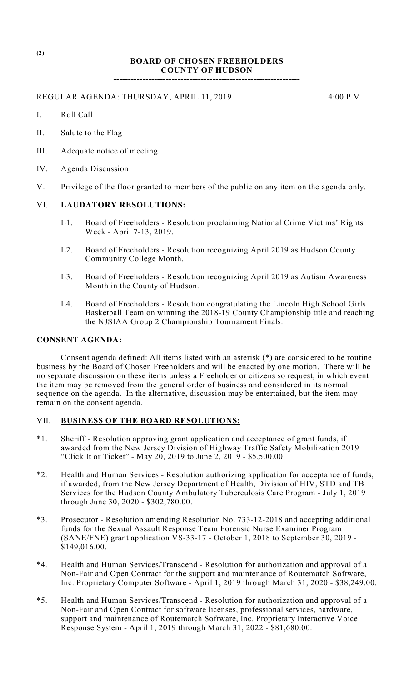# **BOARD OF CHOSEN FREEHOLDERS COUNTY OF HUDSON**

**----------------------------------------------------------------**

REGULAR AGENDA: THURSDAY, APRIL 11, 2019 4:00 P.M.

- I. Roll Call
- II. Salute to the Flag
- III. Adequate notice of meeting
- IV. Agenda Discussion
- V. Privilege of the floor granted to members of the public on any item on the agenda only.

### VI. **LAUDATORY RESOLUTIONS:**

- L1. Board of Freeholders Resolution proclaiming National Crime Victims' Rights Week - April 7-13, 2019.
- L2. Board of Freeholders Resolution recognizing April 2019 as Hudson County Community College Month.
- L3. Board of Freeholders Resolution recognizing April 2019 as Autism Awareness Month in the County of Hudson.
- L4. Board of Freeholders Resolution congratulating the Lincoln High School Girls Basketball Team on winning the 2018-19 County Championship title and reaching the NJSIAA Group 2 Championship Tournament Finals.

#### **CONSENT AGENDA:**

Consent agenda defined: All items listed with an asterisk (\*) are considered to be routine business by the Board of Chosen Freeholders and will be enacted by one motion. There will be no separate discussion on these items unless a Freeholder or citizens so request, in which event the item may be removed from the general order of business and considered in its normal sequence on the agenda. In the alternative, discussion may be entertained, but the item may remain on the consent agenda.

### VII. **BUSINESS OF THE BOARD RESOLUTIONS:**

- \*1. Sheriff Resolution approving grant application and acceptance of grant funds, if awarded from the New Jersey Division of Highway Traffic Safety Mobilization 2019 "Click It or Ticket" - May 20, 2019 to June 2, 2019 - \$5,500.00.
- \*2. Health and Human Services Resolution authorizing application for acceptance of funds, if awarded, from the New Jersey Department of Health, Division of HIV, STD and TB Services for the Hudson County Ambulatory Tuberculosis Care Program - July 1, 2019 through June 30, 2020 - \$302,780.00.
- \*3. Prosecutor Resolution amending Resolution No. 733-12-2018 and accepting additional funds for the Sexual Assault Response Team Forensic Nurse Examiner Program (SANE/FNE) grant application  $\overline{VS}$ -33-17 - October 1, 2018 to September 30, 2019 -\$149,016.00.
- \*4. Health and Human Services/Transcend Resolution for authorization and approval of a Non-Fair and Open Contract for the support and maintenance of Routematch Software, Inc. Proprietary Computer Software - April 1, 2019 through March 31, 2020 - \$38,249.00.
- \*5. Health and Human Services/Transcend Resolution for authorization and approval of a Non-Fair and Open Contract for software licenses, professional services, hardware, support and maintenance of Routematch Software, Inc. Proprietary Interactive Voice Response System - April 1, 2019 through March 31, 2022 - \$81,680.00.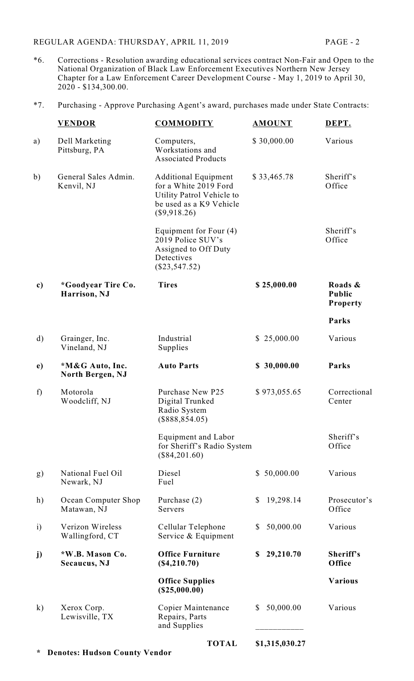**\* Denotes: Hudson County Vendor**

- \*6. Corrections Resolution awarding educational services contract Non-Fair and Open to the National Organization of Black Law Enforcement Executives Northern New Jersey Chapter for a Law Enforcement Career Development Course - May 1, 2019 to April 30, 2020 - \$134,300.00.
- \*7. Purchasing Approve Purchasing Agent's award, purchases made under State Contracts:

|              | <b>VENDOR</b>                       | <b>COMMODITY</b>                                                                                                             | <b>AMOUNT</b>             | DEPT.                                       |
|--------------|-------------------------------------|------------------------------------------------------------------------------------------------------------------------------|---------------------------|---------------------------------------------|
| a)           | Dell Marketing<br>Pittsburg, PA     | Computers,<br>Workstations and<br><b>Associated Products</b>                                                                 | \$30,000.00               | Various                                     |
| b)           | General Sales Admin.<br>Kenvil, NJ  | <b>Additional Equipment</b><br>for a White 2019 Ford<br>Utility Patrol Vehicle to<br>be used as a K9 Vehicle<br>(\$9,918.26) | \$33,465.78               | Sheriff's<br>Office                         |
|              |                                     | Equipment for Four (4)<br>2019 Police SUV's<br>Assigned to Off Duty<br>Detectives<br>$(\$23,547.52)$                         |                           | Sheriff's<br>Office                         |
| c)           | *Goodyear Tire Co.<br>Harrison, NJ  | <b>Tires</b>                                                                                                                 | \$25,000.00               | Roads &<br><b>Public</b><br><b>Property</b> |
|              |                                     |                                                                                                                              |                           | Parks                                       |
| $\rm d)$     | Grainger, Inc.<br>Vineland, NJ      | Industrial<br>Supplies                                                                                                       | \$25,000.00               | Various                                     |
| e)           | *M&G Auto, Inc.<br>North Bergen, NJ | <b>Auto Parts</b>                                                                                                            | \$30,000.00               | Parks                                       |
| f            | Motorola<br>Woodcliff, NJ           | Purchase New P25<br>Digital Trunked<br>Radio System<br>(\$888, 854.05)                                                       | \$973,055.65              | Correctional<br>Center                      |
|              |                                     | <b>Equipment and Labor</b><br>for Sheriff's Radio System<br>$(\$84,201.60)$                                                  |                           | Sheriff's<br>Office                         |
| g)           | National Fuel Oil<br>Newark, NJ     | Diesel<br>Fuel                                                                                                               | \$50,000.00               | Various                                     |
| h)           | Ocean Computer Shop<br>Matawan, NJ  | Purchase $(2)$<br>Servers                                                                                                    | 19,298.14<br>\$           | Prosecutor's<br>Office                      |
| $\mathbf{i}$ | Verizon Wireless<br>Wallingford, CT | Cellular Telephone<br>Service & Equipment                                                                                    | 50,000.00<br>\$           | Various                                     |
| j)           | *W.B. Mason Co.<br>Secaucus, NJ     | <b>Office Furniture</b><br>(\$4,210.70)                                                                                      | 29,210.70<br>\$           | Sheriff's<br>Office                         |
|              |                                     | <b>Office Supplies</b><br>$(\$25,000.00)$                                                                                    |                           | <b>Various</b>                              |
| $\mathbf{k}$ | Xerox Corp.<br>Lewisville, TX       | Copier Maintenance<br>Repairs, Parts<br>and Supplies                                                                         | 50,000.00<br><sup>S</sup> | Various                                     |
|              |                                     | <b>TOTAL</b>                                                                                                                 | \$1,315,030.27            |                                             |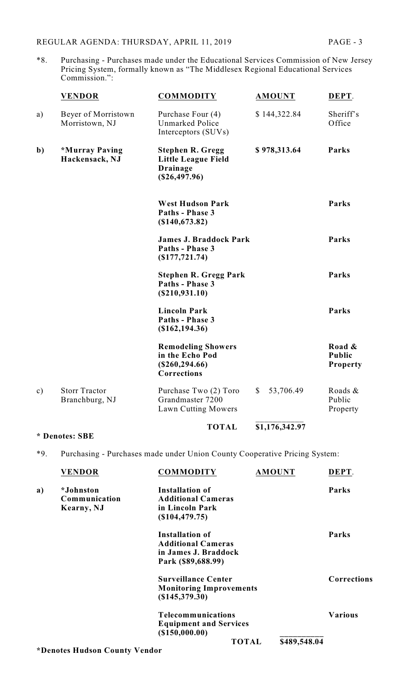\*8. Purchasing - Purchases made under the Educational Services Commission of New Jersey Pricing System, formally known as "The Middlesex Regional Educational Services Commission.":

|               | <b>VENDOR</b>                          | <b>COMMODITY</b>                                                                            | <b>AMOUNT</b>             | DEPT.                         |
|---------------|----------------------------------------|---------------------------------------------------------------------------------------------|---------------------------|-------------------------------|
| a)            | Beyer of Morristown<br>Morristown, NJ  | Purchase Four (4)<br>Unmarked Police<br>Interceptors (SUVs)                                 | \$144,322.84              | Sheriff's<br>Office           |
| $\mathbf{b}$  | *Murray Paving<br>Hackensack, NJ       | <b>Stephen R. Gregg</b><br><b>Little League Field</b><br><b>Drainage</b><br>$(\$26,497.96)$ | \$978,313.64              | Parks                         |
|               |                                        | <b>West Hudson Park</b><br>Paths - Phase 3<br>(\$140,673.82)                                |                           | Parks                         |
|               |                                        | <b>James J. Braddock Park</b><br>Paths - Phase 3<br>$($ \$177,721.74 $)$                    |                           | Parks                         |
|               |                                        | <b>Stephen R. Gregg Park</b><br>Paths - Phase 3<br>(\$210,931.10)                           |                           | Parks                         |
|               |                                        | <b>Lincoln Park</b><br>Paths - Phase 3<br>(\$162, 194.36)                                   |                           | Parks                         |
|               |                                        | <b>Remodeling Showers</b><br>in the Echo Pod<br>$(\$260, 294.66)$<br>Corrections            |                           | Road &<br>Public<br>Property  |
| $\mathbf{c})$ | <b>Storr Tractor</b><br>Branchburg, NJ | Purchase Two (2) Toro<br>Grandmaster 7200<br>Lawn Cutting Mowers                            | 53,706.49<br>$\mathbb{S}$ | Roads &<br>Public<br>Property |
|               |                                        | <b>TOTAL</b>                                                                                | \$1,176,342.97            |                               |

# **\* Denotes: SBE**

\*9. Purchasing - Purchases made under Union County Cooperative Pricing System:

|    | <b>VENDOR</b>                 | <b>COMMODITY</b>               |              | <b>AMOUNT</b> | DEPT.          |
|----|-------------------------------|--------------------------------|--------------|---------------|----------------|
| a) | *Johnston                     | <b>Installation of</b>         |              |               | Parks          |
|    | Communication                 | <b>Additional Cameras</b>      |              |               |                |
|    | Kearny, NJ                    | in Lincoln Park                |              |               |                |
|    |                               | (\$104,479.75)                 |              |               |                |
|    |                               | <b>Installation of</b>         |              |               | Parks          |
|    |                               | <b>Additional Cameras</b>      |              |               |                |
|    |                               | in James J. Braddock           |              |               |                |
|    |                               | Park (\$89,688.99)             |              |               |                |
|    |                               | <b>Surveillance Center</b>     |              |               | Corrections    |
|    |                               | <b>Monitoring Improvements</b> |              |               |                |
|    |                               | $(\$145,379.30)$               |              |               |                |
|    |                               | <b>Telecommunications</b>      |              |               | <b>Various</b> |
|    |                               | <b>Equipment and Services</b>  |              |               |                |
|    |                               | (\$150,000.00)                 |              |               |                |
|    |                               |                                | <b>TOTAL</b> | \$489,548.04  |                |
|    | *Denotes Hudson County Vendor |                                |              |               |                |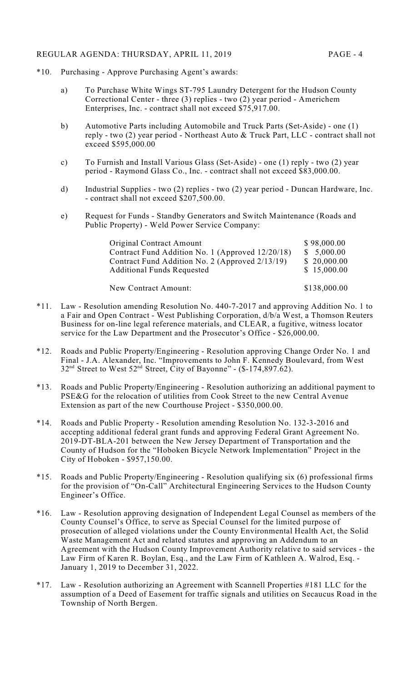### REGULAR AGENDA: THURSDAY, APRIL 11, 2019 PAGE - 4

- \*10. Purchasing Approve Purchasing Agent's awards:
	- a) To Purchase White Wings ST-795 Laundry Detergent for the Hudson County Correctional Center - three (3) replies - two (2) year period - Americhem Enterprises, Inc. - contract shall not exceed \$75,917.00.
	- b) Automotive Parts including Automobile and Truck Parts (Set-Aside) one (1) reply - two (2) year period - Northeast Auto & Truck Part, LLC - contract shall not exceed \$595,000.00
	- c) To Furnish and Install Various Glass (Set-Aside) one (1) reply two (2) year period - Raymond Glass Co., Inc. - contract shall not exceed \$83,000.00.
	- d) Industrial Supplies two (2) replies two (2) year period Duncan Hardware, Inc. - contract shall not exceed \$207,500.00.
	- e) Request for Funds Standby Generators and Switch Maintenance (Roads and Public Property) - Weld Power Service Company:

| <b>Original Contract Amount</b>                  | \$98,000.00  |
|--------------------------------------------------|--------------|
| Contract Fund Addition No. 1 (Approved 12/20/18) | \$5,000.00   |
| Contract Fund Addition No. 2 (Approved 2/13/19)  | \$20,000.00  |
| <b>Additional Funds Requested</b>                | \$15,000.00  |
| New Contract Amount:                             | \$138,000.00 |

- \*11. Law Resolution amending Resolution No. 440-7-2017 and approving Addition No. 1 to a Fair and Open Contract - West Publishing Corporation, d/b/a West, a Thomson Reuters Business for on-line legal reference materials, and CLEAR, a fugitive, witness locator service for the Law Department and the Prosecutor's Office - \$26,000.00.
- \*12. Roads and Public Property/Engineering Resolution approving Change Order No. 1 and Final - J.A. Alexander, Inc. "Improvements to John F. Kennedy Boulevard, from West  $32<sup>nd</sup>$  Street to West  $52<sup>nd</sup>$  Street, City of Bayonne" - (\$-174,897.62).
- \*13. Roads and Public Property/Engineering Resolution authorizing an additional payment to PSE&G for the relocation of utilities from Cook Street to the new Central Avenue Extension as part of the new Courthouse Project - \$350,000.00.
- \*14. Roads and Public Property Resolution amending Resolution No. 132-3-2016 and accepting additional federal grant funds and approving Federal Grant Agreement No. 2019-DT-BLA-201 between the New Jersey Department of Transportation and the County of Hudson for the "Hoboken Bicycle Network Implementation" Project in the City of Hoboken - \$957,150.00.
- \*15. Roads and Public Property/Engineering Resolution qualifying six (6) professional firms for the provision of "On-Call" Architectural Engineering Services to the Hudson County Engineer's Office.
- \*16. Law Resolution approving designation of Independent Legal Counsel as members of the County Counsel's Office, to serve as Special Counsel for the limited purpose of prosecution of alleged violations under the County Environmental Health Act, the Solid Waste Management Act and related statutes and approving an Addendum to an Agreement with the Hudson County Improvement Authority relative to said services - the Law Firm of Karen R. Boylan, Esq., and the Law Firm of Kathleen A. Walrod, Esq. - January 1, 2019 to December 31, 2022.
- \*17. Law Resolution authorizing an Agreement with Scannell Properties #181 LLC for the assumption of a Deed of Easement for traffic signals and utilities on Secaucus Road in the Township of North Bergen.